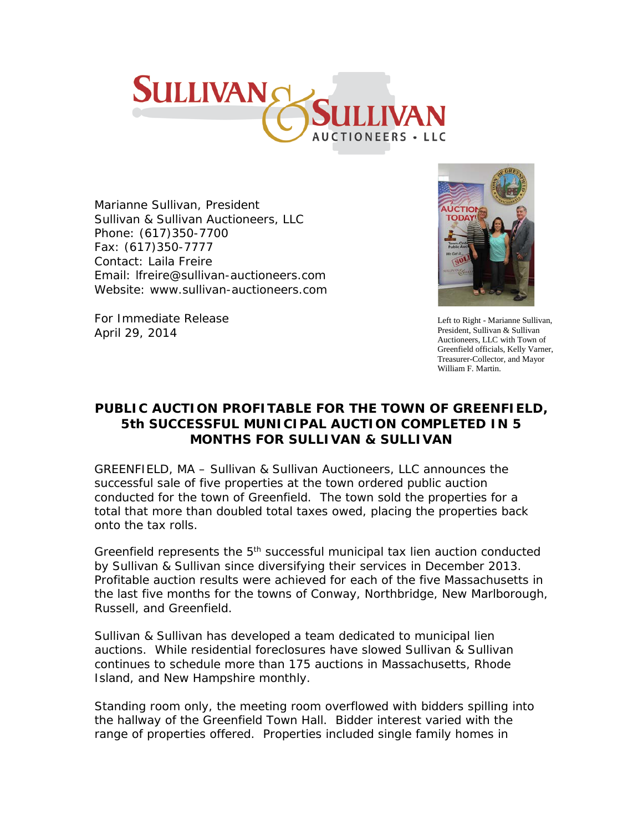

Marianne Sullivan, President Sullivan & Sullivan Auctioneers, LLC Phone: (617)350-7700 Fax: (617)350-7777 Contact: Laila Freire Email: lfreire@sullivan-auctioneers.com Website: [www.sullivan-auctioneers.com](http://www.sullivan-auctioneers.com/)



Left to Right - Marianne Sullivan, President, Sullivan & Sullivan Auctioneers, LLC with Town of Greenfield officials, Kelly Varner, Treasurer-Collector, and Mayor William F. Martin.

For Immediate Release April 29, 2014

## **PUBLIC AUCTION PROFITABLE FOR THE TOWN OF GREENFIELD, 5th SUCCESSFUL MUNICIPAL AUCTION COMPLETED IN 5 MONTHS FOR SULLIVAN & SULLIVAN**

GREENFIELD, MA – Sullivan & Sullivan Auctioneers, LLC announces the successful sale of five properties at the town ordered public auction conducted for the town of Greenfield. The town sold the properties for a total that more than doubled total taxes owed, placing the properties back onto the tax rolls.

Greenfield represents the 5<sup>th</sup> successful municipal tax lien auction conducted by Sullivan & Sullivan since diversifying their services in December 2013. Profitable auction results were achieved for each of the five Massachusetts in the last five months for the towns of Conway, Northbridge, New Marlborough, Russell, and Greenfield.

Sullivan & Sullivan has developed a team dedicated to municipal lien auctions. While residential foreclosures have slowed Sullivan & Sullivan continues to schedule more than 175 auctions in Massachusetts, Rhode Island, and New Hampshire monthly.

Standing room only, the meeting room overflowed with bidders spilling into the hallway of the Greenfield Town Hall. Bidder interest varied with the range of properties offered. Properties included single family homes in